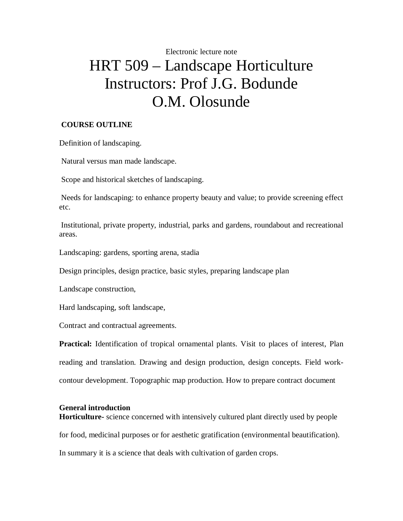# Electronic lecture note HRT 509 – Landscape Horticulture Instructors: Prof J.G. Bodunde O.M. Olosunde

# **COURSE OUTLINE**

Definition of landscaping.

Natural versus man made landscape.

Scope and historical sketches of landscaping.

Needs for landscaping: to enhance property beauty and value; to provide screening effect etc.

Institutional, private property, industrial, parks and gardens, roundabout and recreational areas.

Landscaping: gardens, sporting arena, stadia

Design principles, design practice, basic styles, preparing landscape plan

Landscape construction,

Hard landscaping, soft landscape,

Contract and contractual agreements.

**Practical:** Identification of tropical ornamental plants. Visit to places of interest, Plan reading and translation. Drawing and design production, design concepts. Field workcontour development. Topographic map production. How to prepare contract document

# **General introduction**

**Horticulture-** science concerned with intensively cultured plant directly used by people for food, medicinal purposes or for aesthetic gratification (environmental beautification). In summary it is a science that deals with cultivation of garden crops.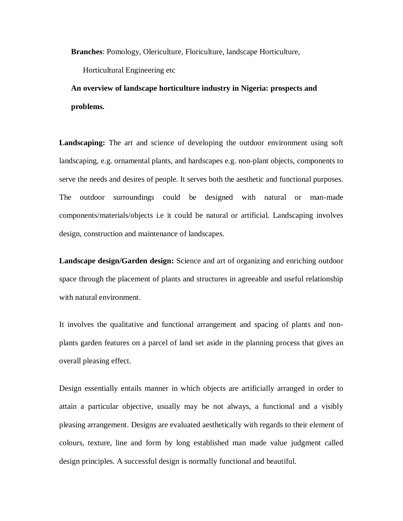**Branches**: Pomology, Olericulture, Floriculture, landscape Horticulture,

Horticultural Engineering etc

**An overview of landscape horticulture industry in Nigeria: prospects and problems.**

**Landscaping:** The art and science of developing the outdoor environment using soft landscaping, e.g. ornamental plants, and hardscapes e.g. non-plant objects, components to serve the needs and desires of people. It serves both the aesthetic and functional purposes. The outdoor surroundings could be designed with natural or man-made components/materials/objects i.e it could be natural or artificial. Landscaping involves design, construction and maintenance of landscapes.

**Landscape design/Garden design:** Science and art of organizing and enriching outdoor space through the placement of plants and structures in agreeable and useful relationship with natural environment.

It involves the qualitative and functional arrangement and spacing of plants and nonplants garden features on a parcel of land set aside in the planning process that gives an overall pleasing effect.

Design essentially entails manner in which objects are artificially arranged in order to attain a particular objective, usually may be not always, a functional and a visibly pleasing arrangement. Designs are evaluated aesthetically with regards to their element of colours, texture, line and form by long established man made value judgment called design principles. A successful design is normally functional and beautiful.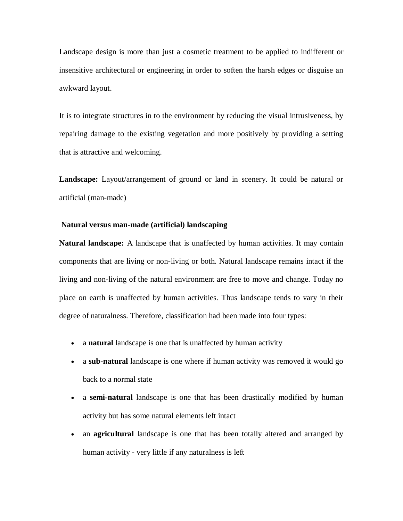Landscape design is more than just a cosmetic treatment to be applied to indifferent or insensitive architectural or engineering in order to soften the harsh edges or disguise an awkward layout.

It is to integrate structures in to the environment by reducing the visual intrusiveness, by repairing damage to the existing vegetation and more positively by providing a setting that is attractive and welcoming.

**Landscape:** Layout/arrangement of ground or land in scenery. It could be natural or artificial (man-made)

#### **Natural versus man-made (artificial) landscaping**

**Natural landscape:** A landscape that is unaffected by human activities. It may contain components that are living or non-living or both. Natural landscape remains intact if the living and non-living of the natural environment are free to move and change. Today no place on earth is unaffected by human activities. Thus landscape tends to vary in their degree of naturalness. Therefore, classification had been made into four types:

- a **natural** landscape is one that is unaffected by human activity
- a **sub-natural** landscape is one where if human activity was removed it would go back to a normal state
- a **semi-natural** landscape is one that has been drastically modified by human activity but has some natural elements left intact
- an **agricultural** landscape is one that has been totally altered and arranged by human activity - very little if any naturalness is left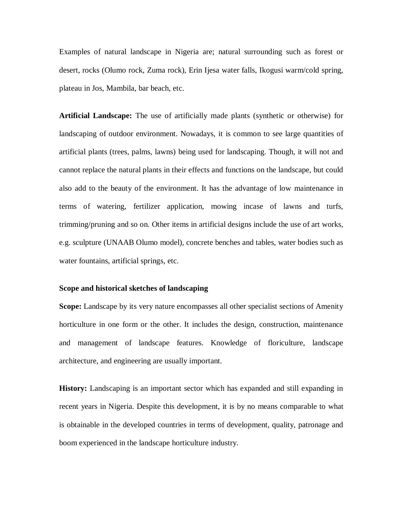Examples of natural landscape in Nigeria are; natural surrounding such as forest or desert, rocks (Olumo rock, Zuma rock), Erin Ijesa water falls, Ikogusi warm/cold spring, plateau in Jos, Mambila, bar beach, etc.

**Artificial Landscape:** The use of artificially made plants (synthetic or otherwise) for landscaping of outdoor environment. Nowadays, it is common to see large quantities of artificial plants (trees, palms, lawns) being used for landscaping. Though, it will not and cannot replace the natural plants in their effects and functions on the landscape, but could also add to the beauty of the environment. It has the advantage of low maintenance in terms of watering, fertilizer application, mowing incase of lawns and turfs, trimming/pruning and so on. Other items in artificial designs include the use of art works, e.g. sculpture (UNAAB Olumo model), concrete benches and tables, water bodies such as water fountains, artificial springs, etc.

#### **Scope and historical sketches of landscaping**

**Scope:** Landscape by its very nature encompasses all other specialist sections of Amenity horticulture in one form or the other. It includes the design, construction, maintenance and management of landscape features. Knowledge of floriculture, landscape architecture, and engineering are usually important.

**History:** Landscaping is an important sector which has expanded and still expanding in recent years in Nigeria. Despite this development, it is by no means comparable to what is obtainable in the developed countries in terms of development, quality, patronage and boom experienced in the landscape horticulture industry.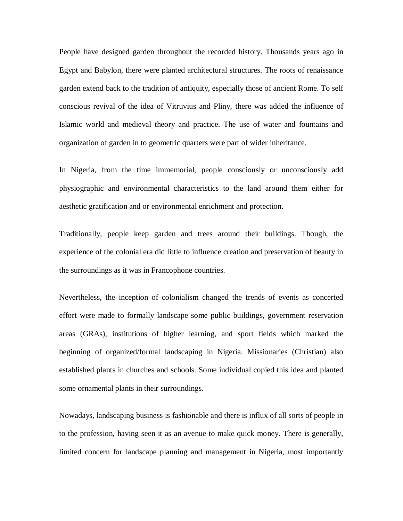People have designed garden throughout the recorded history. Thousands years ago in Egypt and Babylon, there were planted architectural structures. The roots of renaissance garden extend back to the tradition of antiquity, especially those of ancient Rome. To self conscious revival of the idea of Vitruvius and Pliny, there was added the influence of Islamic world and medieval theory and practice. The use of water and fountains and organization of garden in to geometric quarters were part of wider inheritance.

In Nigeria, from the time immemorial, people consciously or unconsciously add physiographic and environmental characteristics to the land around them either for aesthetic gratification and or environmental enrichment and protection.

Traditionally, people keep garden and trees around their buildings. Though, the experience of the colonial era did little to influence creation and preservation of beauty in the surroundings as it was in Francophone countries.

Nevertheless, the inception of colonialism changed the trends of events as concerted effort were made to formally landscape some public buildings, government reservation areas (GRAs), institutions of higher learning, and sport fields which marked the beginning of organized/formal landscaping in Nigeria. Missionaries (Christian) also established plants in churches and schools. Some individual copied this idea and planted some ornamental plants in their surroundings.

Nowadays, landscaping business is fashionable and there is influx of all sorts of people in to the profession, having seen it as an avenue to make quick money. There is generally, limited concern for landscape planning and management in Nigeria, most importantly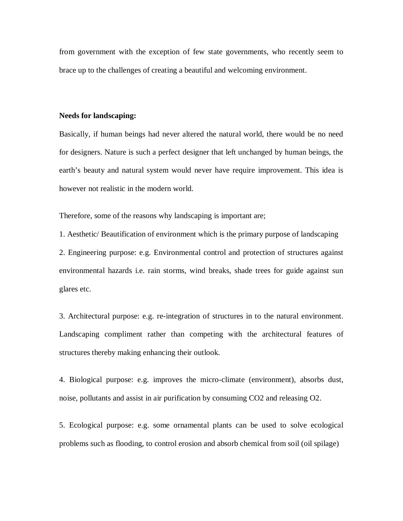from government with the exception of few state governments, who recently seem to brace up to the challenges of creating a beautiful and welcoming environment.

#### **Needs for landscaping:**

Basically, if human beings had never altered the natural world, there would be no need for designers. Nature is such a perfect designer that left unchanged by human beings, the earth's beauty and natural system would never have require improvement. This idea is however not realistic in the modern world.

Therefore, some of the reasons why landscaping is important are;

1. Aesthetic/ Beautification of environment which is the primary purpose of landscaping 2. Engineering purpose: e.g. Environmental control and protection of structures against environmental hazards i.e. rain storms, wind breaks, shade trees for guide against sun glares etc.

3. Architectural purpose: e.g. re-integration of structures in to the natural environment. Landscaping compliment rather than competing with the architectural features of structures thereby making enhancing their outlook.

4. Biological purpose: e.g. improves the micro-climate (environment), absorbs dust, noise, pollutants and assist in air purification by consuming CO2 and releasing O2.

5. Ecological purpose: e.g. some ornamental plants can be used to solve ecological problems such as flooding, to control erosion and absorb chemical from soil (oil spilage)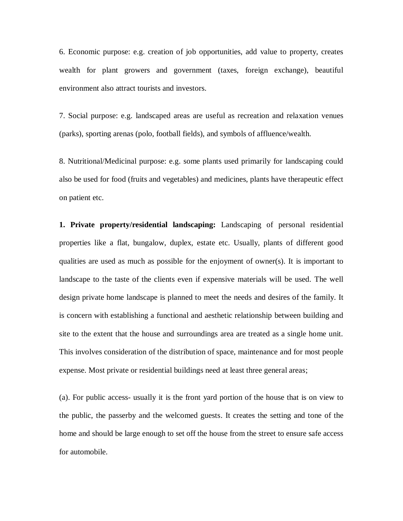6. Economic purpose: e.g. creation of job opportunities, add value to property, creates wealth for plant growers and government (taxes, foreign exchange), beautiful environment also attract tourists and investors.

7. Social purpose: e.g. landscaped areas are useful as recreation and relaxation venues (parks), sporting arenas (polo, football fields), and symbols of affluence/wealth.

8. Nutritional/Medicinal purpose: e.g. some plants used primarily for landscaping could also be used for food (fruits and vegetables) and medicines, plants have therapeutic effect on patient etc.

**1. Private property/residential landscaping:** Landscaping of personal residential properties like a flat, bungalow, duplex, estate etc. Usually, plants of different good qualities are used as much as possible for the enjoyment of owner(s). It is important to landscape to the taste of the clients even if expensive materials will be used. The well design private home landscape is planned to meet the needs and desires of the family. It is concern with establishing a functional and aesthetic relationship between building and site to the extent that the house and surroundings area are treated as a single home unit. This involves consideration of the distribution of space, maintenance and for most people expense. Most private or residential buildings need at least three general areas;

(a). For public access- usually it is the front yard portion of the house that is on view to the public, the passerby and the welcomed guests. It creates the setting and tone of the home and should be large enough to set off the house from the street to ensure safe access for automobile.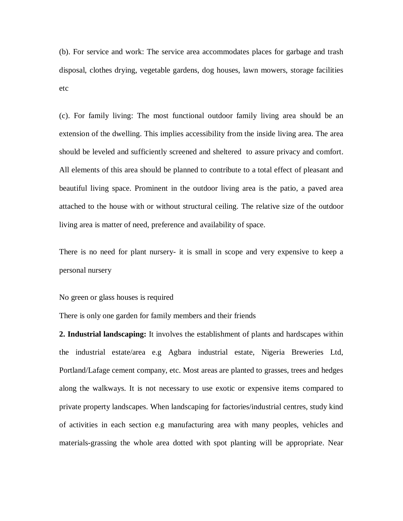(b). For service and work: The service area accommodates places for garbage and trash disposal, clothes drying, vegetable gardens, dog houses, lawn mowers, storage facilities etc

(c). For family living: The most functional outdoor family living area should be an extension of the dwelling. This implies accessibility from the inside living area. The area should be leveled and sufficiently screened and sheltered to assure privacy and comfort. All elements of this area should be planned to contribute to a total effect of pleasant and beautiful living space. Prominent in the outdoor living area is the patio, a paved area attached to the house with or without structural ceiling. The relative size of the outdoor living area is matter of need, preference and availability of space.

There is no need for plant nursery- it is small in scope and very expensive to keep a personal nursery

No green or glass houses is required

There is only one garden for family members and their friends

**2. Industrial landscaping:** It involves the establishment of plants and hardscapes within the industrial estate/area e.g Agbara industrial estate, Nigeria Breweries Ltd, Portland/Lafage cement company, etc. Most areas are planted to grasses, trees and hedges along the walkways. It is not necessary to use exotic or expensive items compared to private property landscapes. When landscaping for factories/industrial centres, study kind of activities in each section e.g manufacturing area with many peoples, vehicles and materials-grassing the whole area dotted with spot planting will be appropriate. Near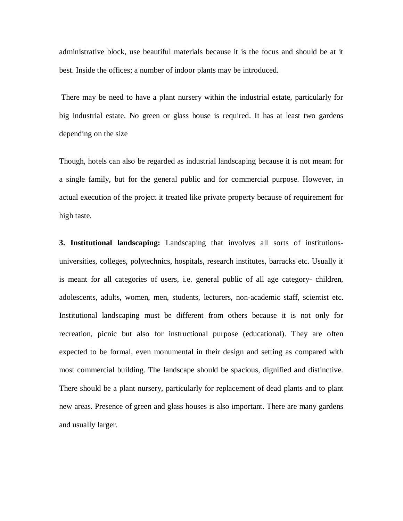administrative block, use beautiful materials because it is the focus and should be at it best. Inside the offices; a number of indoor plants may be introduced.

There may be need to have a plant nursery within the industrial estate, particularly for big industrial estate. No green or glass house is required. It has at least two gardens depending on the size

Though, hotels can also be regarded as industrial landscaping because it is not meant for a single family, but for the general public and for commercial purpose. However, in actual execution of the project it treated like private property because of requirement for high taste.

**3. Institutional landscaping:** Landscaping that involves all sorts of institutionsuniversities, colleges, polytechnics, hospitals, research institutes, barracks etc. Usually it is meant for all categories of users, i.e. general public of all age category- children, adolescents, adults, women, men, students, lecturers, non-academic staff, scientist etc. Institutional landscaping must be different from others because it is not only for recreation, picnic but also for instructional purpose (educational). They are often expected to be formal, even monumental in their design and setting as compared with most commercial building. The landscape should be spacious, dignified and distinctive. There should be a plant nursery, particularly for replacement of dead plants and to plant new areas. Presence of green and glass houses is also important. There are many gardens and usually larger.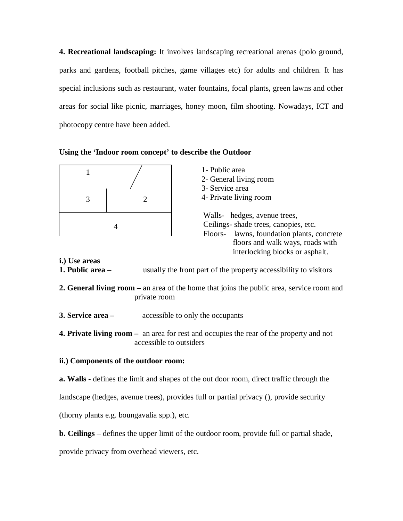**4. Recreational landscaping:** It involves landscaping recreational arenas (polo ground, parks and gardens, football pitches, game villages etc) for adults and children. It has special inclusions such as restaurant, water fountains, focal plants, green lawns and other areas for social like picnic, marriages, honey moon, film shooting. Nowadays, ICT and photocopy centre have been added.

|  |  |  | Using the 'Indoor room concept' to describe the Outdoor |  |  |  |
|--|--|--|---------------------------------------------------------|--|--|--|
|--|--|--|---------------------------------------------------------|--|--|--|

|   | 1- Public area<br>2- General living room<br>3- Service area<br>4- Private living room                                                                                                         |  |
|---|-----------------------------------------------------------------------------------------------------------------------------------------------------------------------------------------------|--|
| 4 | Walls- hedges, avenue trees,<br>Ceilings- shade trees, canopies, etc.<br>lawns, foundation plants, concrete<br>Floors-<br>floors and walk ways, roads with<br>interlocking blocks or asphalt. |  |

**i.) Use areas**

- **1. Public area –** usually the front part of the property accessibility to visitors
- **2. General living room –** an area of the home that joins the public area, service room and private room
- **3. Service area –** accessible to only the occupants
- **4. Private living room** an area for rest and occupies the rear of the property and not accessible to outsiders

# **ii.) Components of the outdoor room:**

**a. Walls** - defines the limit and shapes of the out door room, direct traffic through the

landscape (hedges, avenue trees), provides full or partial privacy (), provide security

(thorny plants e.g. boungavalia spp.), etc.

**b. Ceilings** – defines the upper limit of the outdoor room, provide full or partial shade,

provide privacy from overhead viewers, etc.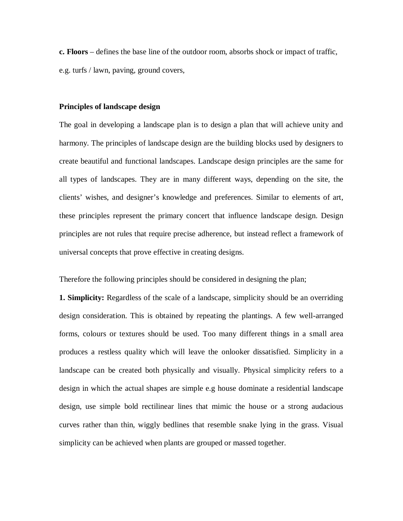**c. Floors** – defines the base line of the outdoor room, absorbs shock or impact of traffic, e.g. turfs / lawn, paving, ground covers,

#### **Principles of landscape design**

The goal in developing a landscape plan is to design a plan that will achieve unity and harmony. The principles of landscape design are the building blocks used by designers to create beautiful and functional landscapes. Landscape design principles are the same for all types of landscapes. They are in many different ways, depending on the site, the clients' wishes, and designer's knowledge and preferences. Similar to elements of art, these principles represent the primary concert that influence landscape design. Design principles are not rules that require precise adherence, but instead reflect a framework of universal concepts that prove effective in creating designs.

Therefore the following principles should be considered in designing the plan;

**1. Simplicity:** Regardless of the scale of a landscape, simplicity should be an overriding design consideration. This is obtained by repeating the plantings. A few well-arranged forms, colours or textures should be used. Too many different things in a small area produces a restless quality which will leave the onlooker dissatisfied. Simplicity in a landscape can be created both physically and visually. Physical simplicity refers to a design in which the actual shapes are simple e.g house dominate a residential landscape design, use simple bold rectilinear lines that mimic the house or a strong audacious curves rather than thin, wiggly bedlines that resemble snake lying in the grass. Visual simplicity can be achieved when plants are grouped or massed together.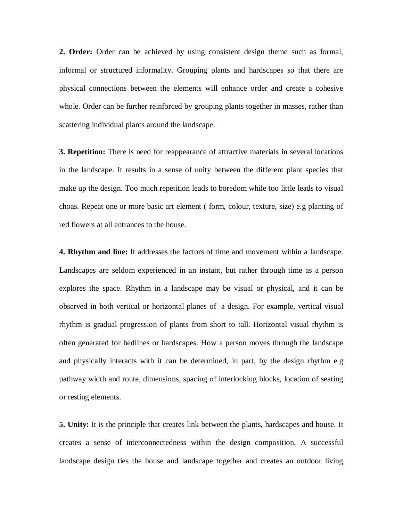**2. Order:** Order can be achieved by using consistent design theme such as formal, informal or structured informality. Grouping plants and hardscapes so that there are physical connections between the elements will enhance order and create a cohesive whole. Order can be further reinforced by grouping plants together in masses, rather than scattering individual plants around the landscape.

**3. Repetition:** There is need for reappearance of attractive materials in several locations in the landscape. It results in a sense of unity between the different plant species that make up the design. Too much repetition leads to boredom while too little leads to visual choas. Repeat one or more basic art element ( form, colour, texture, size) e.g planting of red flowers at all entrances to the house.

**4. Rhythm and line:** It addresses the factors of time and movement within a landscape. Landscapes are seldom experienced in an instant, but rather through time as a person explores the space. Rhythm in a landscape may be visual or physical, and it can be observed in both vertical or horizontal planes of a design. For example, vertical visual rhythm is gradual progression of plants from short to tall. Horizontal visual rhythm is often generated for bedlines or hardscapes. How a person moves through the landscape and physically interacts with it can be determined, in part, by the design rhythm e.g pathway width and route, dimensions, spacing of interlocking blocks, location of seating or resting elements.

**5. Unity:** It is the principle that creates link between the plants, hardscapes and house. It creates a sense of interconnectedness within the design composition. A successful landscape design ties the house and landscape together and creates an outdoor living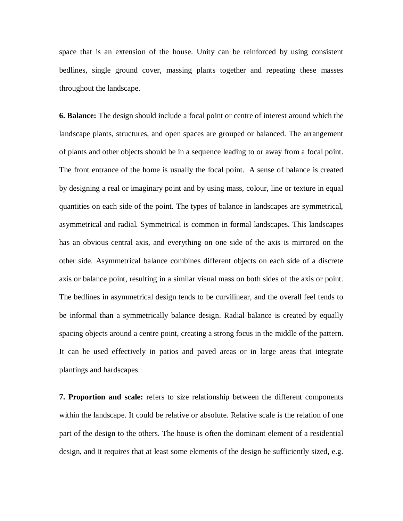space that is an extension of the house. Unity can be reinforced by using consistent bedlines, single ground cover, massing plants together and repeating these masses throughout the landscape.

**6. Balance:** The design should include a focal point or centre of interest around which the landscape plants, structures, and open spaces are grouped or balanced. The arrangement of plants and other objects should be in a sequence leading to or away from a focal point. The front entrance of the home is usually the focal point. A sense of balance is created by designing a real or imaginary point and by using mass, colour, line or texture in equal quantities on each side of the point. The types of balance in landscapes are symmetrical, asymmetrical and radial. Symmetrical is common in formal landscapes. This landscapes has an obvious central axis, and everything on one side of the axis is mirrored on the other side. Asymmetrical balance combines different objects on each side of a discrete axis or balance point, resulting in a similar visual mass on both sides of the axis or point. The bedlines in asymmetrical design tends to be curvilinear, and the overall feel tends to be informal than a symmetrically balance design. Radial balance is created by equally spacing objects around a centre point, creating a strong focus in the middle of the pattern. It can be used effectively in patios and paved areas or in large areas that integrate plantings and hardscapes.

**7. Proportion and scale:** refers to size relationship between the different components within the landscape. It could be relative or absolute. Relative scale is the relation of one part of the design to the others. The house is often the dominant element of a residential design, and it requires that at least some elements of the design be sufficiently sized, e.g.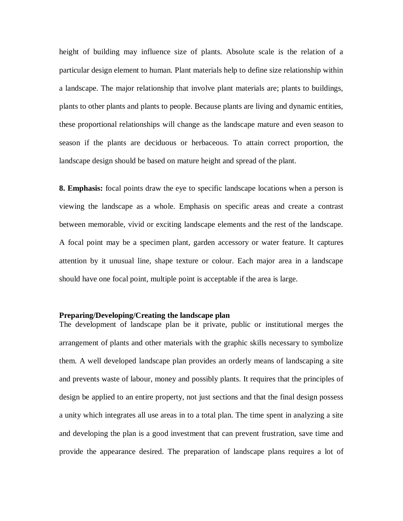height of building may influence size of plants. Absolute scale is the relation of a particular design element to human. Plant materials help to define size relationship within a landscape. The major relationship that involve plant materials are; plants to buildings, plants to other plants and plants to people. Because plants are living and dynamic entities, these proportional relationships will change as the landscape mature and even season to season if the plants are deciduous or herbaceous. To attain correct proportion, the landscape design should be based on mature height and spread of the plant.

**8. Emphasis:** focal points draw the eye to specific landscape locations when a person is viewing the landscape as a whole. Emphasis on specific areas and create a contrast between memorable, vivid or exciting landscape elements and the rest of the landscape. A focal point may be a specimen plant, garden accessory or water feature. It captures attention by it unusual line, shape texture or colour. Each major area in a landscape should have one focal point, multiple point is acceptable if the area is large.

#### **Preparing/Developing/Creating the landscape plan**

The development of landscape plan be it private, public or institutional merges the arrangement of plants and other materials with the graphic skills necessary to symbolize them. A well developed landscape plan provides an orderly means of landscaping a site and prevents waste of labour, money and possibly plants. It requires that the principles of design be applied to an entire property, not just sections and that the final design possess a unity which integrates all use areas in to a total plan. The time spent in analyzing a site and developing the plan is a good investment that can prevent frustration, save time and provide the appearance desired. The preparation of landscape plans requires a lot of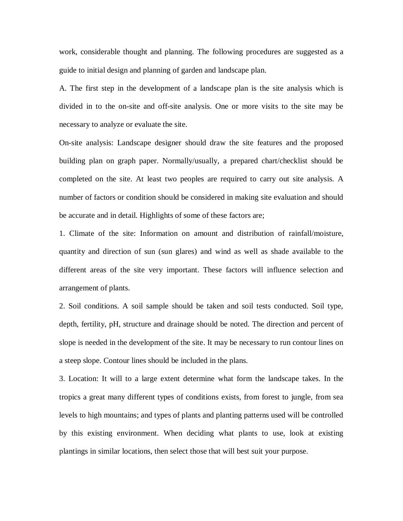work, considerable thought and planning. The following procedures are suggested as a guide to initial design and planning of garden and landscape plan.

A. The first step in the development of a landscape plan is the site analysis which is divided in to the on-site and off-site analysis. One or more visits to the site may be necessary to analyze or evaluate the site.

On-site analysis: Landscape designer should draw the site features and the proposed building plan on graph paper. Normally/usually, a prepared chart/checklist should be completed on the site. At least two peoples are required to carry out site analysis. A number of factors or condition should be considered in making site evaluation and should be accurate and in detail. Highlights of some of these factors are;

1. Climate of the site: Information on amount and distribution of rainfall/moisture, quantity and direction of sun (sun glares) and wind as well as shade available to the different areas of the site very important. These factors will influence selection and arrangement of plants.

2. Soil conditions. A soil sample should be taken and soil tests conducted. Soil type, depth, fertility, pH, structure and drainage should be noted. The direction and percent of slope is needed in the development of the site. It may be necessary to run contour lines on a steep slope. Contour lines should be included in the plans.

3. Location: It will to a large extent determine what form the landscape takes. In the tropics a great many different types of conditions exists, from forest to jungle, from sea levels to high mountains; and types of plants and planting patterns used will be controlled by this existing environment. When deciding what plants to use, look at existing plantings in similar locations, then select those that will best suit your purpose.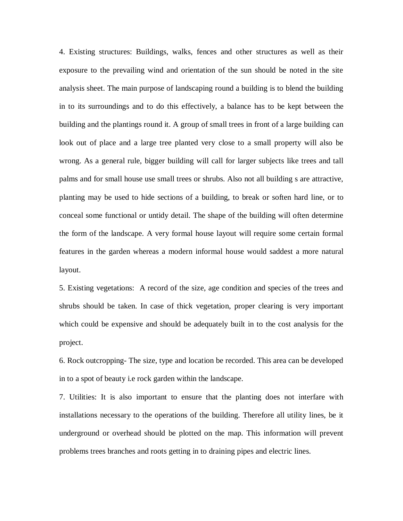4. Existing structures: Buildings, walks, fences and other structures as well as their exposure to the prevailing wind and orientation of the sun should be noted in the site analysis sheet. The main purpose of landscaping round a building is to blend the building in to its surroundings and to do this effectively, a balance has to be kept between the building and the plantings round it. A group of small trees in front of a large building can look out of place and a large tree planted very close to a small property will also be wrong. As a general rule, bigger building will call for larger subjects like trees and tall palms and for small house use small trees or shrubs. Also not all building s are attractive, planting may be used to hide sections of a building, to break or soften hard line, or to conceal some functional or untidy detail. The shape of the building will often determine the form of the landscape. A very formal house layout will require some certain formal features in the garden whereas a modern informal house would saddest a more natural layout.

5. Existing vegetations: A record of the size, age condition and species of the trees and shrubs should be taken. In case of thick vegetation, proper clearing is very important which could be expensive and should be adequately built in to the cost analysis for the project.

6. Rock outcropping- The size, type and location be recorded. This area can be developed in to a spot of beauty i.e rock garden within the landscape.

7. Utilities: It is also important to ensure that the planting does not interfare with installations necessary to the operations of the building. Therefore all utility lines, be it underground or overhead should be plotted on the map. This information will prevent problems trees branches and roots getting in to draining pipes and electric lines.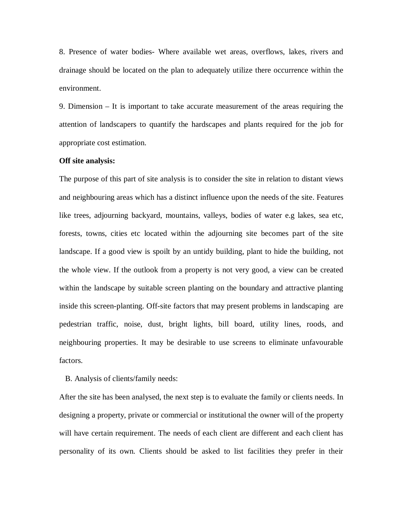8. Presence of water bodies- Where available wet areas, overflows, lakes, rivers and drainage should be located on the plan to adequately utilize there occurrence within the environment.

9. Dimension – It is important to take accurate measurement of the areas requiring the attention of landscapers to quantify the hardscapes and plants required for the job for appropriate cost estimation.

#### **Off site analysis:**

The purpose of this part of site analysis is to consider the site in relation to distant views and neighbouring areas which has a distinct influence upon the needs of the site. Features like trees, adjourning backyard, mountains, valleys, bodies of water e.g lakes, sea etc, forests, towns, cities etc located within the adjourning site becomes part of the site landscape. If a good view is spoilt by an untidy building, plant to hide the building, not the whole view. If the outlook from a property is not very good, a view can be created within the landscape by suitable screen planting on the boundary and attractive planting inside this screen-planting. Off-site factors that may present problems in landscaping are pedestrian traffic, noise, dust, bright lights, bill board, utility lines, roods, and neighbouring properties. It may be desirable to use screens to eliminate unfavourable factors.

B. Analysis of clients/family needs:

After the site has been analysed, the next step is to evaluate the family or clients needs. In designing a property, private or commercial or institutional the owner will of the property will have certain requirement. The needs of each client are different and each client has personality of its own. Clients should be asked to list facilities they prefer in their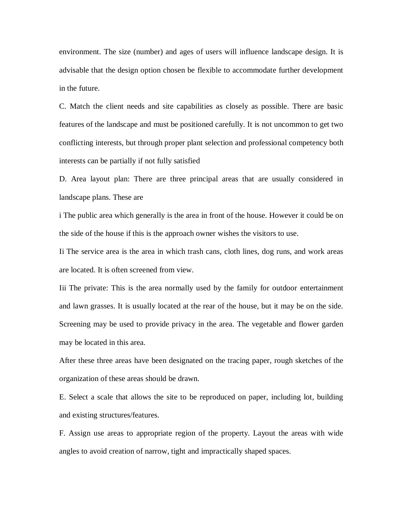environment. The size (number) and ages of users will influence landscape design. It is advisable that the design option chosen be flexible to accommodate further development in the future.

C. Match the client needs and site capabilities as closely as possible. There are basic features of the landscape and must be positioned carefully. It is not uncommon to get two conflicting interests, but through proper plant selection and professional competency both interests can be partially if not fully satisfied

D. Area layout plan: There are three principal areas that are usually considered in landscape plans. These are

i The public area which generally is the area in front of the house. However it could be on the side of the house if this is the approach owner wishes the visitors to use.

Ii The service area is the area in which trash cans, cloth lines, dog runs, and work areas are located. It is often screened from view.

Iii The private: This is the area normally used by the family for outdoor entertainment and lawn grasses. It is usually located at the rear of the house, but it may be on the side. Screening may be used to provide privacy in the area. The vegetable and flower garden may be located in this area.

After these three areas have been designated on the tracing paper, rough sketches of the organization of these areas should be drawn.

E. Select a scale that allows the site to be reproduced on paper, including lot, building and existing structures/features.

F. Assign use areas to appropriate region of the property. Layout the areas with wide angles to avoid creation of narrow, tight and impractically shaped spaces.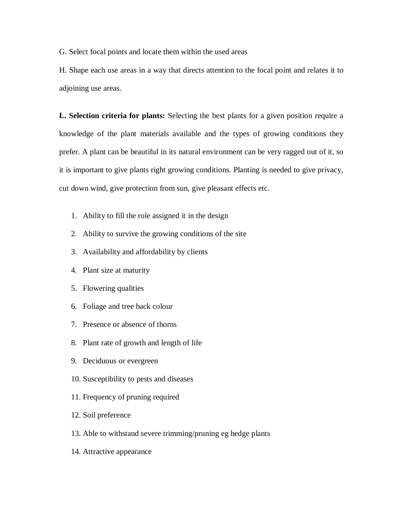G. Select focal points and locate them within the used areas

H. Shape each use areas in a way that directs attention to the focal point and relates it to adjoining use areas.

**L. Selection criteria for plants:** Selecting the best plants for a given position require a knowledge of the plant materials available and the types of growing conditions they prefer. A plant can be beautiful in its natural environment can be very ragged out of it, so it is important to give plants right growing conditions. Planting is needed to give privacy, cut down wind, give protection from sun, give pleasant effects etc.

- 1. Ability to fill the role assigned it in the design
- 2. Ability to survive the growing conditions of the site
- 3. Availability and affordability by clients
- 4. Plant size at maturity
- 5. Flowering qualities
- 6. Foliage and tree back colour
- 7. Presence or absence of thorns
- 8. Plant rate of growth and length of life
- 9. Deciduous or evergreen
- 10. Susceptibility to pests and diseases
- 11. Frequency of pruning required
- 12. Soil preference
- 13. Able to withstand severe trimming/pruning eg hedge plants
- 14. Attractive appearance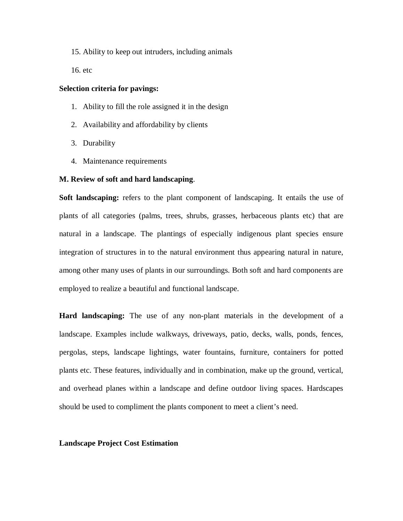15. Ability to keep out intruders, including animals

16. etc

#### **Selection criteria for pavings:**

- 1. Ability to fill the role assigned it in the design
- 2. Availability and affordability by clients
- 3. Durability
- 4. Maintenance requirements

#### **M. Review of soft and hard landscaping**.

**Soft landscaping:** refers to the plant component of landscaping. It entails the use of plants of all categories (palms, trees, shrubs, grasses, herbaceous plants etc) that are natural in a landscape. The plantings of especially indigenous plant species ensure integration of structures in to the natural environment thus appearing natural in nature, among other many uses of plants in our surroundings. Both soft and hard components are employed to realize a beautiful and functional landscape.

**Hard landscaping:** The use of any non-plant materials in the development of a landscape. Examples include walkways, driveways, patio, decks, walls, ponds, fences, pergolas, steps, landscape lightings, water fountains, furniture, containers for potted plants etc. These features, individually and in combination, make up the ground, vertical, and overhead planes within a landscape and define outdoor living spaces. Hardscapes should be used to compliment the plants component to meet a client's need.

#### **Landscape Project Cost Estimation**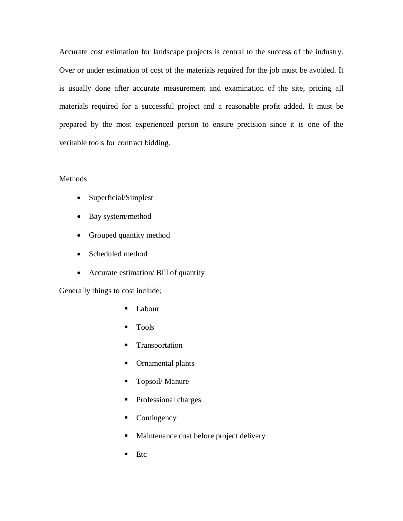Accurate cost estimation for landscape projects is central to the success of the industry. Over or under estimation of cost of the materials required for the job must be avoided. It is usually done after accurate measurement and examination of the site, pricing all materials required for a successful project and a reasonable profit added. It must be prepared by the most experienced person to ensure precision since it is one of the veritable tools for contract bidding.

# **Methods**

- Superficial/Simplest
- Bay system/method
- Grouped quantity method
- Scheduled method
- Accurate estimation/ Bill of quantity

Generally things to cost include;

- Labour
- **Tools**
- **Transportation**
- Ornamental plants
- Topsoil/ Manure
- Professional charges
- Contingency
- **Maintenance cost before project delivery**
- $Etc$